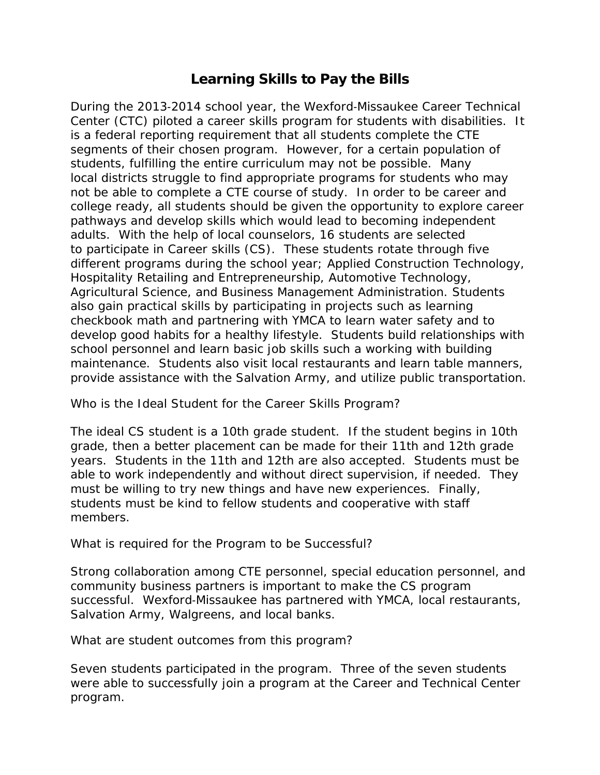## **Learning Skills to Pay the Bills**

During the 2013‐2014 school year, the Wexford‐Missaukee Career Technical Center (CTC) piloted a career skills program for students with disabilities. It is a federal reporting requirement that all students complete the CTE segments of their chosen program. However, for a certain population of students, fulfilling the entire curriculum may not be possible. Many local districts struggle to find appropriate programs for students who may not be able to complete a CTE course of study. In order to be career and college ready, all students should be given the opportunity to explore career pathways and develop skills which would lead to becoming independent adults. With the help of local counselors, 16 students are selected to participate in Career skills (CS). These students rotate through five different programs during the school year; Applied Construction Technology, Hospitality Retailing and Entrepreneurship, Automotive Technology, Agricultural Science, and Business Management Administration. Students also gain practical skills by participating in projects such as learning checkbook math and partnering with YMCA to learn water safety and to develop good habits for a healthy lifestyle. Students build relationships with school personnel and learn basic job skills such a working with building maintenance. Students also visit local restaurants and learn table manners, provide assistance with the Salvation Army, and utilize public transportation.

Who is the Ideal Student for the Career Skills Program?

The ideal CS student is a 10th grade student. If the student begins in 10th grade, then a better placement can be made for their 11th and 12th grade years. Students in the 11th and 12th are also accepted. Students must be able to work independently and without direct supervision, if needed. They must be willing to try new things and have new experiences. Finally, students must be kind to fellow students and cooperative with staff members.

What is required for the Program to be Successful?

Strong collaboration among CTE personnel, special education personnel, and community business partners is important to make the CS program successful. Wexford-Missaukee has partnered with YMCA, local restaurants, Salvation Army, Walgreens, and local banks.

What are student outcomes from this program?

Seven students participated in the program. Three of the seven students were able to successfully join a program at the Career and Technical Center program.